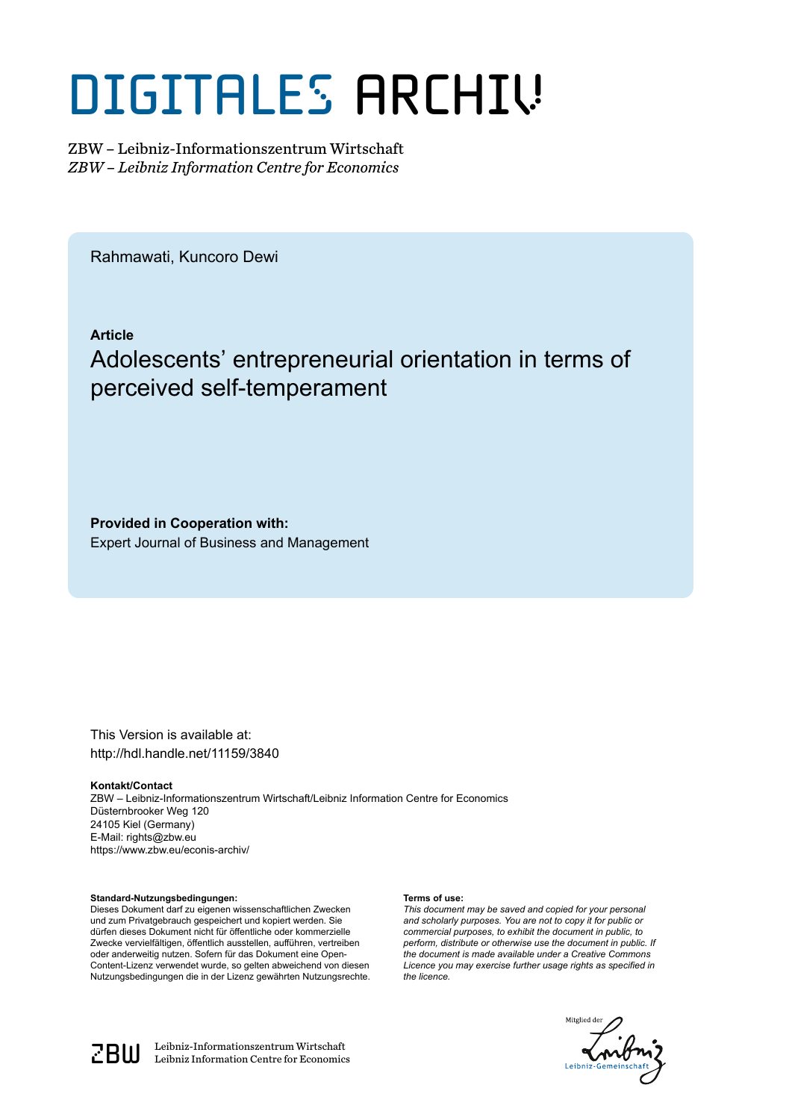# DIGITALES ARCHIV

ZBW – Leibniz-Informationszentrum Wirtschaft *ZBW – Leibniz Information Centre for Economics*

Rahmawati, Kuncoro Dewi

**Article**

### Adolescents' entrepreneurial orientation in terms of perceived self-temperament

**Provided in Cooperation with:** Expert Journal of Business and Management

This Version is available at: http://hdl.handle.net/11159/3840

#### **Kontakt/Contact**

ZBW – Leibniz-Informationszentrum Wirtschaft/Leibniz Information Centre for Economics Düsternbrooker Weg 120 24105 Kiel (Germany) E-Mail: rights@zbw.eu https://www.zbw.eu/econis-archiv/

**Standard-Nutzungsbedingungen:**

Dieses Dokument darf zu eigenen wissenschaftlichen Zwecken und zum Privatgebrauch gespeichert und kopiert werden. Sie dürfen dieses Dokument nicht für öffentliche oder kommerzielle Zwecke vervielfältigen, öffentlich ausstellen, aufführen, vertreiben oder anderweitig nutzen. Sofern für das Dokument eine Open-Content-Lizenz verwendet wurde, so gelten abweichend von diesen Nutzungsbedingungen die in der Lizenz gewährten Nutzungsrechte.

#### **Terms of use:**

*This document may be saved and copied for your personal and scholarly purposes. You are not to copy it for public or commercial purposes, to exhibit the document in public, to perform, distribute or otherwise use the document in public. If the document is made available under a Creative Commons Licence you may exercise further usage rights as specified in the licence.*





 $\mathbb{Z} \text{B} \text{U}$  Leibniz-Informationszentrum Wirtschaft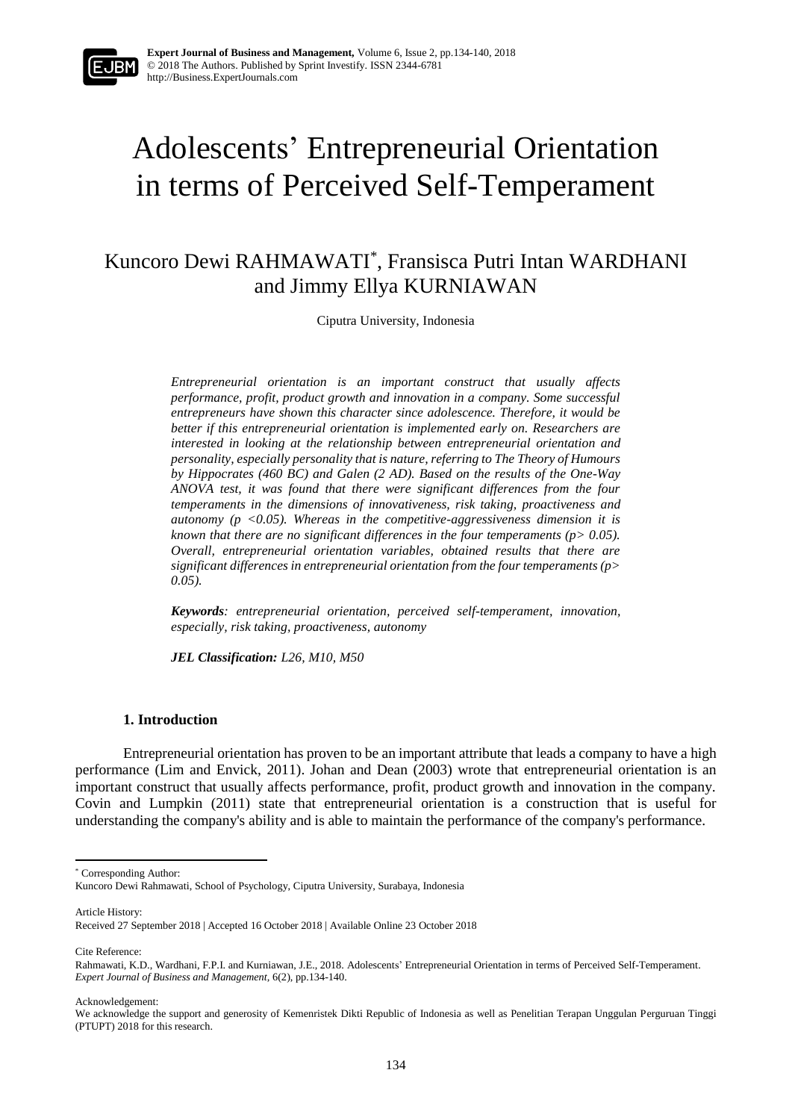

## Adolescents' Entrepreneurial Orientation in terms of Perceived Self-Temperament

Kuncoro Dewi RAHMAWATI\* , Fransisca Putri Intan WARDHANI and Jimmy Ellya KURNIAWAN

Ciputra University, Indonesia

*Entrepreneurial orientation is an important construct that usually affects performance, profit, product growth and innovation in a company. Some successful entrepreneurs have shown this character since adolescence. Therefore, it would be better if this entrepreneurial orientation is implemented early on. Researchers are interested in looking at the relationship between entrepreneurial orientation and personality, especially personality that is nature, referring to The Theory of Humours by Hippocrates (460 BC) and Galen (2 AD). Based on the results of the One-Way ANOVA test, it was found that there were significant differences from the four temperaments in the dimensions of innovativeness, risk taking, proactiveness and autonomy (p <0.05). Whereas in the competitive-aggressiveness dimension it is known that there are no significant differences in the four temperaments (p> 0.05). Overall, entrepreneurial orientation variables, obtained results that there are significant differences in entrepreneurial orientation from the four temperaments (p> 0.05).*

*Keywords: entrepreneurial orientation, perceived self-temperament, innovation, especially, risk taking, proactiveness, autonomy*

*JEL Classification: L26, M10, M50*

#### **1. Introduction**

Entrepreneurial orientation has proven to be an important attribute that leads a company to have a high performance (Lim and Envick, 2011). Johan and Dean (2003) wrote that entrepreneurial orientation is an important construct that usually affects performance, profit, product growth and innovation in the company. Covin and Lumpkin (2011) state that entrepreneurial orientation is a construction that is useful for understanding the company's ability and is able to maintain the performance of the company's performance.

Article History: Received 27 September 2018 | Accepted 16 October 2018 | Available Online 23 October 2018

Cite Reference:

**.** 

Acknowledgement:

<sup>\*</sup> Corresponding Author:

Kuncoro Dewi Rahmawati, School of Psychology, Ciputra University, Surabaya, Indonesia

Rahmawati, K.D., Wardhani, F.P.I. and Kurniawan, J.E., 2018. Adolescents' Entrepreneurial Orientation in terms of Perceived Self-Temperament. *Expert Journal of Business and Management,* 6(2), pp.134-140.

We acknowledge the support and generosity of Kemenristek Dikti Republic of Indonesia as well as Penelitian Terapan Unggulan Perguruan Tinggi (PTUPT) 2018 for this research.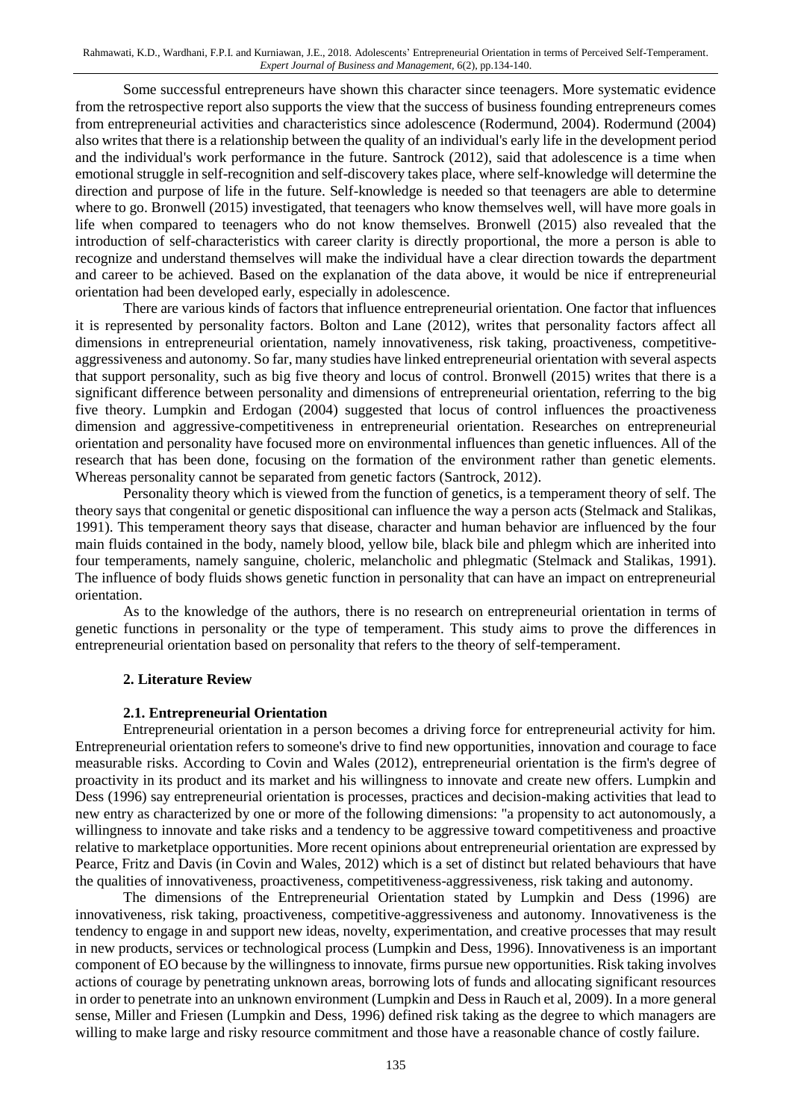Some successful entrepreneurs have shown this character since teenagers. More systematic evidence from the retrospective report also supports the view that the success of business founding entrepreneurs comes from entrepreneurial activities and characteristics since adolescence (Rodermund, 2004). Rodermund (2004) also writes that there is a relationship between the quality of an individual's early life in the development period and the individual's work performance in the future. Santrock (2012), said that adolescence is a time when emotional struggle in self-recognition and self-discovery takes place, where self-knowledge will determine the direction and purpose of life in the future. Self-knowledge is needed so that teenagers are able to determine where to go. Bronwell (2015) investigated, that teenagers who know themselves well, will have more goals in life when compared to teenagers who do not know themselves. Bronwell (2015) also revealed that the introduction of self-characteristics with career clarity is directly proportional, the more a person is able to recognize and understand themselves will make the individual have a clear direction towards the department and career to be achieved. Based on the explanation of the data above, it would be nice if entrepreneurial orientation had been developed early, especially in adolescence.

There are various kinds of factors that influence entrepreneurial orientation. One factor that influences it is represented by personality factors. Bolton and Lane (2012), writes that personality factors affect all dimensions in entrepreneurial orientation, namely innovativeness, risk taking, proactiveness, competitiveaggressiveness and autonomy. So far, many studies have linked entrepreneurial orientation with several aspects that support personality, such as big five theory and locus of control. Bronwell (2015) writes that there is a significant difference between personality and dimensions of entrepreneurial orientation, referring to the big five theory. Lumpkin and Erdogan (2004) suggested that locus of control influences the proactiveness dimension and aggressive-competitiveness in entrepreneurial orientation. Researches on entrepreneurial orientation and personality have focused more on environmental influences than genetic influences. All of the research that has been done, focusing on the formation of the environment rather than genetic elements. Whereas personality cannot be separated from genetic factors (Santrock, 2012).

Personality theory which is viewed from the function of genetics, is a temperament theory of self. The theory says that congenital or genetic dispositional can influence the way a person acts (Stelmack and Stalikas, 1991). This temperament theory says that disease, character and human behavior are influenced by the four main fluids contained in the body, namely blood, yellow bile, black bile and phlegm which are inherited into four temperaments, namely sanguine, choleric, melancholic and phlegmatic (Stelmack and Stalikas, 1991). The influence of body fluids shows genetic function in personality that can have an impact on entrepreneurial orientation.

As to the knowledge of the authors, there is no research on entrepreneurial orientation in terms of genetic functions in personality or the type of temperament. This study aims to prove the differences in entrepreneurial orientation based on personality that refers to the theory of self-temperament.

#### **2. Literature Review**

#### **2.1. Entrepreneurial Orientation**

Entrepreneurial orientation in a person becomes a driving force for entrepreneurial activity for him. Entrepreneurial orientation refers to someone's drive to find new opportunities, innovation and courage to face measurable risks. According to Covin and Wales (2012), entrepreneurial orientation is the firm's degree of proactivity in its product and its market and his willingness to innovate and create new offers. Lumpkin and Dess (1996) say entrepreneurial orientation is processes, practices and decision-making activities that lead to new entry as characterized by one or more of the following dimensions: "a propensity to act autonomously, a willingness to innovate and take risks and a tendency to be aggressive toward competitiveness and proactive relative to marketplace opportunities. More recent opinions about entrepreneurial orientation are expressed by Pearce, Fritz and Davis (in Covin and Wales, 2012) which is a set of distinct but related behaviours that have the qualities of innovativeness, proactiveness, competitiveness-aggressiveness, risk taking and autonomy.

The dimensions of the Entrepreneurial Orientation stated by Lumpkin and Dess (1996) are innovativeness, risk taking, proactiveness, competitive-aggressiveness and autonomy. Innovativeness is the tendency to engage in and support new ideas, novelty, experimentation, and creative processes that may result in new products, services or technological process (Lumpkin and Dess, 1996). Innovativeness is an important component of EO because by the willingness to innovate, firms pursue new opportunities. Risk taking involves actions of courage by penetrating unknown areas, borrowing lots of funds and allocating significant resources in order to penetrate into an unknown environment (Lumpkin and Dess in Rauch et al, 2009). In a more general sense, Miller and Friesen (Lumpkin and Dess, 1996) defined risk taking as the degree to which managers are willing to make large and risky resource commitment and those have a reasonable chance of costly failure.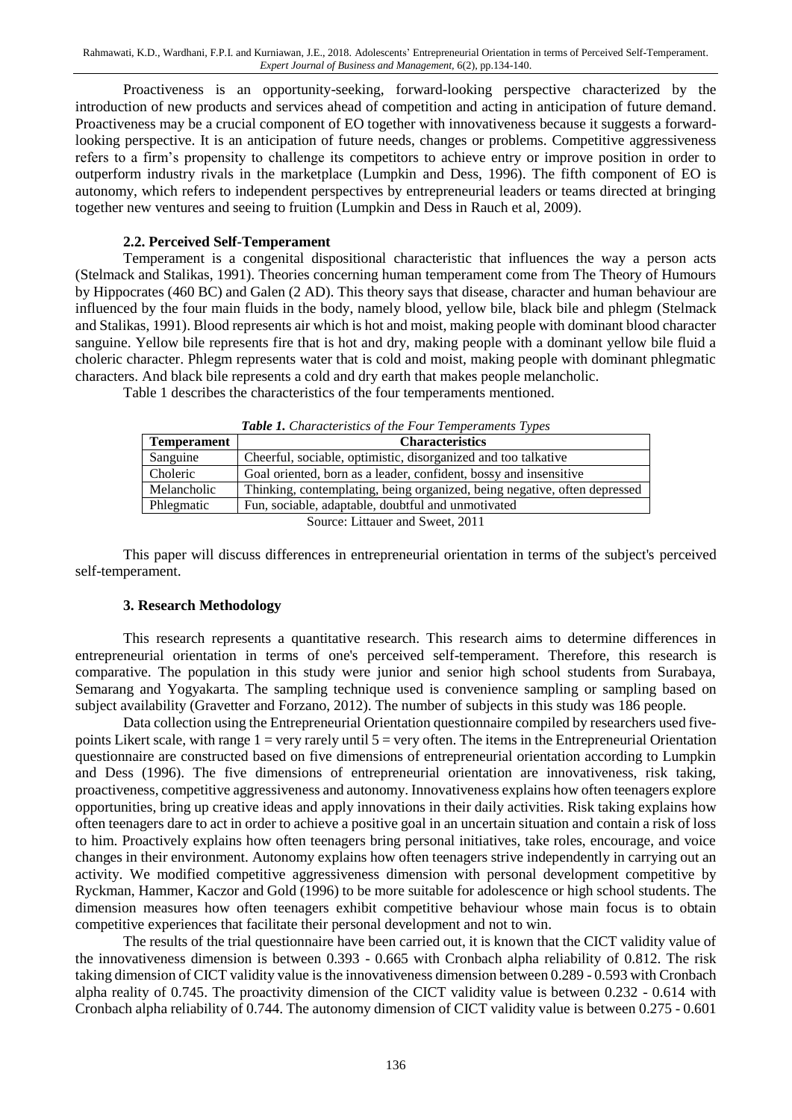Proactiveness is an opportunity-seeking, forward-looking perspective characterized by the introduction of new products and services ahead of competition and acting in anticipation of future demand. Proactiveness may be a crucial component of EO together with innovativeness because it suggests a forwardlooking perspective. It is an anticipation of future needs, changes or problems. Competitive aggressiveness refers to a firm's propensity to challenge its competitors to achieve entry or improve position in order to outperform industry rivals in the marketplace (Lumpkin and Dess, 1996). The fifth component of EO is autonomy, which refers to independent perspectives by entrepreneurial leaders or teams directed at bringing together new ventures and seeing to fruition (Lumpkin and Dess in Rauch et al, 2009).

#### **2.2. Perceived Self-Temperament**

Temperament is a congenital dispositional characteristic that influences the way a person acts (Stelmack and Stalikas, 1991). Theories concerning human temperament come from The Theory of Humours by Hippocrates (460 BC) and Galen (2 AD). This theory says that disease, character and human behaviour are influenced by the four main fluids in the body, namely blood, yellow bile, black bile and phlegm (Stelmack and Stalikas, 1991). Blood represents air which is hot and moist, making people with dominant blood character sanguine. Yellow bile represents fire that is hot and dry, making people with a dominant yellow bile fluid a choleric character. Phlegm represents water that is cold and moist, making people with dominant phlegmatic characters. And black bile represents a cold and dry earth that makes people melancholic.

Table 1 describes the characteristics of the four temperaments mentioned.

| <b>Tuble 1:</b> Characteristics of the 1 our Temperaments 1 ypes |                                                                           |  |  |  |
|------------------------------------------------------------------|---------------------------------------------------------------------------|--|--|--|
| <b>Temperament</b>                                               | <b>Characteristics</b>                                                    |  |  |  |
| Sanguine                                                         | Cheerful, sociable, optimistic, disorganized and too talkative            |  |  |  |
| Choleric                                                         | Goal oriented, born as a leader, confident, bossy and insensitive         |  |  |  |
| Melancholic                                                      | Thinking, contemplating, being organized, being negative, often depressed |  |  |  |
| Phlegmatic                                                       | Fun, sociable, adaptable, doubtful and unmotivated                        |  |  |  |
|                                                                  |                                                                           |  |  |  |

*Table 1. Characteristics of the Four Temperaments Types*

urce: Littauer and Sweet, 2011

This paper will discuss differences in entrepreneurial orientation in terms of the subject's perceived self-temperament.

#### **3. Research Methodology**

This research represents a quantitative research. This research aims to determine differences in entrepreneurial orientation in terms of one's perceived self-temperament. Therefore, this research is comparative. The population in this study were junior and senior high school students from Surabaya, Semarang and Yogyakarta. The sampling technique used is convenience sampling or sampling based on subject availability (Gravetter and Forzano, 2012). The number of subjects in this study was 186 people.

Data collection using the Entrepreneurial Orientation questionnaire compiled by researchers used fivepoints Likert scale, with range  $1 =$  very rarely until  $5 =$  very often. The items in the Entrepreneurial Orientation questionnaire are constructed based on five dimensions of entrepreneurial orientation according to Lumpkin and Dess (1996). The five dimensions of entrepreneurial orientation are innovativeness, risk taking, proactiveness, competitive aggressiveness and autonomy. Innovativeness explains how often teenagers explore opportunities, bring up creative ideas and apply innovations in their daily activities. Risk taking explains how often teenagers dare to act in order to achieve a positive goal in an uncertain situation and contain a risk of loss to him. Proactively explains how often teenagers bring personal initiatives, take roles, encourage, and voice changes in their environment. Autonomy explains how often teenagers strive independently in carrying out an activity. We modified competitive aggressiveness dimension with personal development competitive by Ryckman, Hammer, Kaczor and Gold (1996) to be more suitable for adolescence or high school students. The dimension measures how often teenagers exhibit competitive behaviour whose main focus is to obtain competitive experiences that facilitate their personal development and not to win.

The results of the trial questionnaire have been carried out, it is known that the CICT validity value of the innovativeness dimension is between 0.393 - 0.665 with Cronbach alpha reliability of 0.812. The risk taking dimension of CICT validity value is the innovativeness dimension between 0.289 - 0.593 with Cronbach alpha reality of 0.745. The proactivity dimension of the CICT validity value is between 0.232 - 0.614 with Cronbach alpha reliability of 0.744. The autonomy dimension of CICT validity value is between 0.275 - 0.601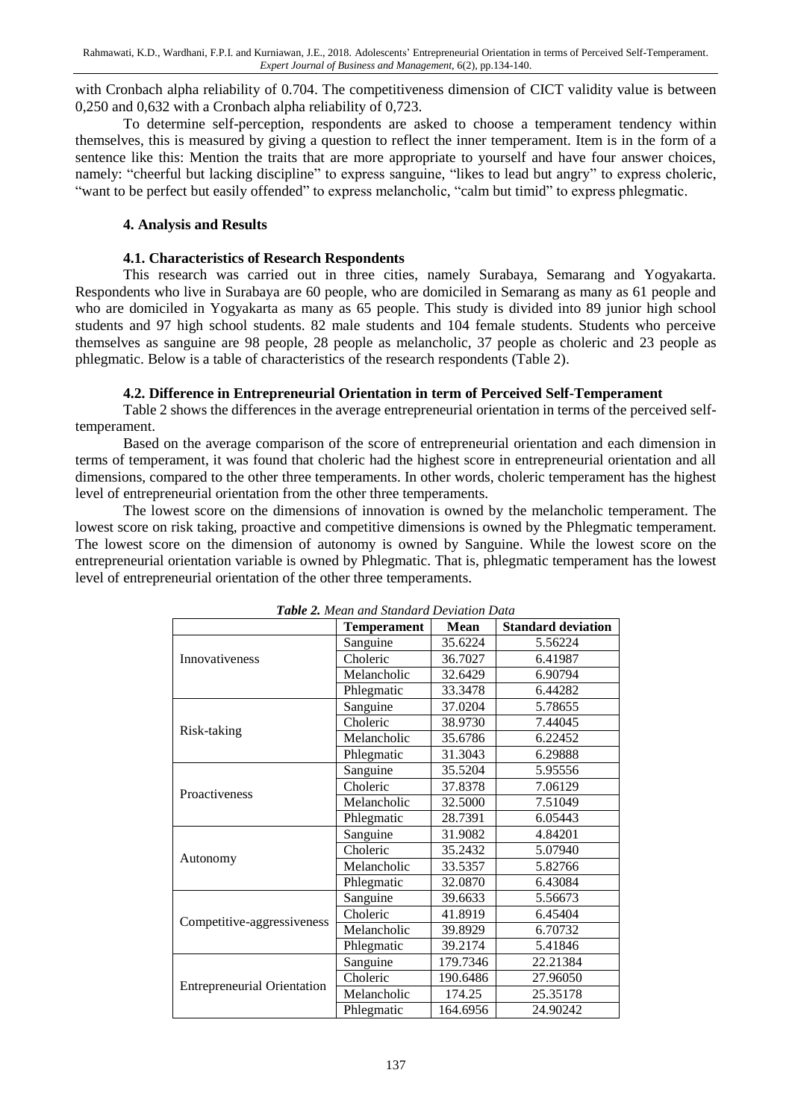with Cronbach alpha reliability of 0.704. The competitiveness dimension of CICT validity value is between 0,250 and 0,632 with a Cronbach alpha reliability of 0,723.

To determine self-perception, respondents are asked to choose a temperament tendency within themselves, this is measured by giving a question to reflect the inner temperament. Item is in the form of a sentence like this: Mention the traits that are more appropriate to yourself and have four answer choices, namely: "cheerful but lacking discipline" to express sanguine, "likes to lead but angry" to express choleric, "want to be perfect but easily offended" to express melancholic, "calm but timid" to express phlegmatic.

#### **4. Analysis and Results**

#### **4.1. Characteristics of Research Respondents**

This research was carried out in three cities, namely Surabaya, Semarang and Yogyakarta. Respondents who live in Surabaya are 60 people, who are domiciled in Semarang as many as 61 people and who are domiciled in Yogyakarta as many as 65 people. This study is divided into 89 junior high school students and 97 high school students. 82 male students and 104 female students. Students who perceive themselves as sanguine are 98 people, 28 people as melancholic, 37 people as choleric and 23 people as phlegmatic. Below is a table of characteristics of the research respondents (Table 2).

#### **4.2. Difference in Entrepreneurial Orientation in term of Perceived Self-Temperament**

Table 2 shows the differences in the average entrepreneurial orientation in terms of the perceived selftemperament.

Based on the average comparison of the score of entrepreneurial orientation and each dimension in terms of temperament, it was found that choleric had the highest score in entrepreneurial orientation and all dimensions, compared to the other three temperaments. In other words, choleric temperament has the highest level of entrepreneurial orientation from the other three temperaments.

The lowest score on the dimensions of innovation is owned by the melancholic temperament. The lowest score on risk taking, proactive and competitive dimensions is owned by the Phlegmatic temperament. The lowest score on the dimension of autonomy is owned by Sanguine. While the lowest score on the entrepreneurial orientation variable is owned by Phlegmatic. That is, phlegmatic temperament has the lowest level of entrepreneurial orientation of the other three temperaments.

|                                    | <b>Temperament</b> | Mean               | <b>Standard deviation</b> |
|------------------------------------|--------------------|--------------------|---------------------------|
|                                    | Sanguine           | 35.6224            | 5.56224                   |
| Innovativeness                     | Choleric           | 36.7027            | 6.41987                   |
|                                    | Melancholic        | 32.6429            | 6.90794                   |
|                                    | Phlegmatic         | 33.3478            | 6.44282                   |
|                                    | Sanguine           | 37.0204            | 5.78655                   |
|                                    | Choleric           | 38.9730            | 7.44045                   |
| Risk-taking                        | Melancholic        | 35.6786            | 6.22452                   |
|                                    | Phlegmatic         | 31.3043            | 6.29888                   |
|                                    | Sanguine           | 35.5204            | 5.95556                   |
| Proactiveness                      | Choleric           | 37.8378            | 7.06129                   |
|                                    | Melancholic        | 32.5000            | 7.51049                   |
|                                    | Phlegmatic         | 28.7391            | 6.05443                   |
|                                    | Sanguine           | 31.9082            | 4.84201                   |
|                                    | Choleric           | 35.2432            | 5.07940                   |
| Autonomy                           | Melancholic        | 33.5357            | 5.82766                   |
|                                    | Phlegmatic         | 32.0870            | 6.43084                   |
|                                    | Sanguine           | 39.6633<br>5.56673 |                           |
|                                    | Choleric           | 41.8919            | 6.45404                   |
| Competitive-aggressiveness         | Melancholic        | 39.8929            | 6.70732                   |
|                                    | Phlegmatic         | 39.2174            | 5.41846                   |
|                                    | Sanguine           | 179.7346           | 22.21384                  |
|                                    | Choleric           | 190.6486           | 27.96050                  |
| <b>Entrepreneurial Orientation</b> | Melancholic        | 174.25             | 25.35178                  |
|                                    | Phlegmatic         | 164.6956           | 24.90242                  |

*Table 2. Mean and Standard Deviation Data*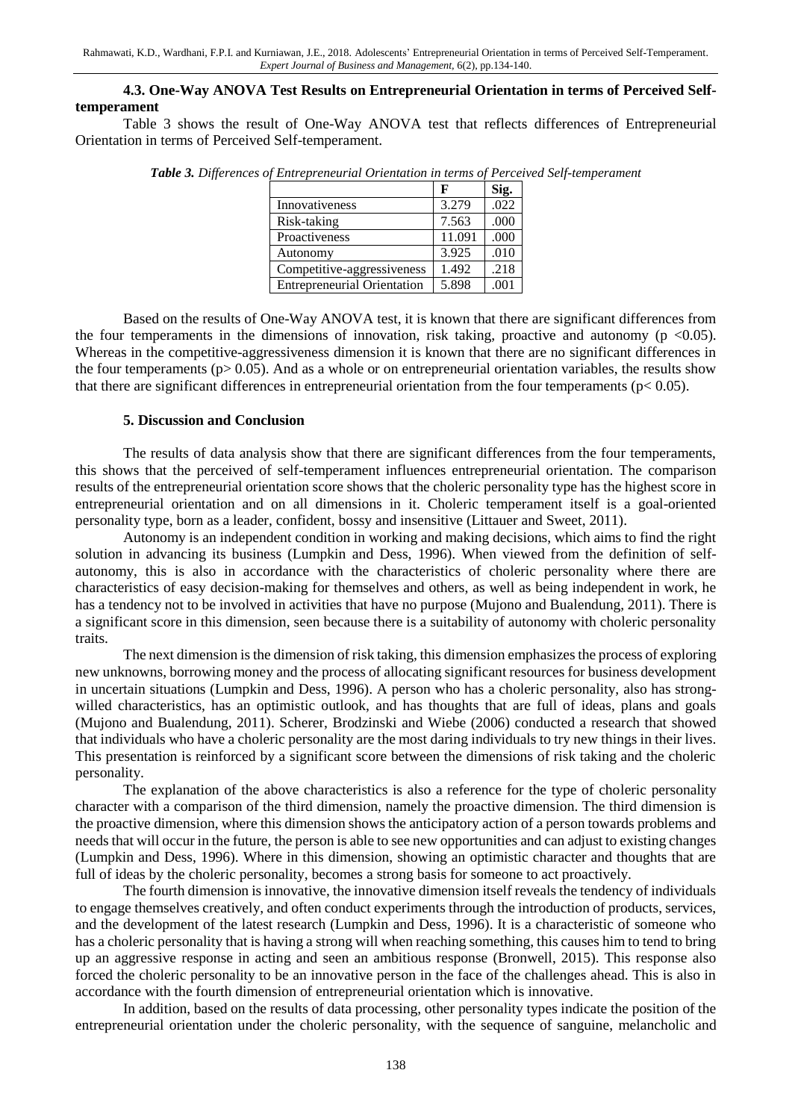#### **4.3. One-Way ANOVA Test Results on Entrepreneurial Orientation in terms of Perceived Selftemperament**

Table 3 shows the result of One-Way ANOVA test that reflects differences of Entrepreneurial Orientation in terms of Perceived Self-temperament.

|                                    |        | Sig. |
|------------------------------------|--------|------|
| Innovativeness                     | 3.279  | .022 |
| Risk-taking                        | 7.563  | .000 |
| Proactiveness                      | 11.091 | .000 |
| Autonomy                           | 3.925  | .010 |
| Competitive-aggressiveness         | 1.492  | .218 |
| <b>Entrepreneurial Orientation</b> | 5.898  | .001 |

*Table 3. Differences of Entrepreneurial Orientation in terms of Perceived Self-temperament*

Based on the results of One-Way ANOVA test, it is known that there are significant differences from the four temperaments in the dimensions of innovation, risk taking, proactive and autonomy ( $p \le 0.05$ ). Whereas in the competitive-aggressiveness dimension it is known that there are no significant differences in the four temperaments ( $p > 0.05$ ). And as a whole or on entrepreneurial orientation variables, the results show that there are significant differences in entrepreneurial orientation from the four temperaments ( $p < 0.05$ ).

#### **5. Discussion and Conclusion**

The results of data analysis show that there are significant differences from the four temperaments, this shows that the perceived of self-temperament influences entrepreneurial orientation. The comparison results of the entrepreneurial orientation score shows that the choleric personality type has the highest score in entrepreneurial orientation and on all dimensions in it. Choleric temperament itself is a goal-oriented personality type, born as a leader, confident, bossy and insensitive (Littauer and Sweet, 2011).

Autonomy is an independent condition in working and making decisions, which aims to find the right solution in advancing its business (Lumpkin and Dess, 1996). When viewed from the definition of selfautonomy, this is also in accordance with the characteristics of choleric personality where there are characteristics of easy decision-making for themselves and others, as well as being independent in work, he has a tendency not to be involved in activities that have no purpose (Mujono and Bualendung, 2011). There is a significant score in this dimension, seen because there is a suitability of autonomy with choleric personality traits.

The next dimension is the dimension of risk taking, this dimension emphasizes the process of exploring new unknowns, borrowing money and the process of allocating significant resources for business development in uncertain situations (Lumpkin and Dess, 1996). A person who has a choleric personality, also has strongwilled characteristics, has an optimistic outlook, and has thoughts that are full of ideas, plans and goals (Mujono and Bualendung, 2011). Scherer, Brodzinski and Wiebe (2006) conducted a research that showed that individuals who have a choleric personality are the most daring individuals to try new things in their lives. This presentation is reinforced by a significant score between the dimensions of risk taking and the choleric personality.

The explanation of the above characteristics is also a reference for the type of choleric personality character with a comparison of the third dimension, namely the proactive dimension. The third dimension is the proactive dimension, where this dimension shows the anticipatory action of a person towards problems and needs that will occur in the future, the person is able to see new opportunities and can adjust to existing changes (Lumpkin and Dess, 1996). Where in this dimension, showing an optimistic character and thoughts that are full of ideas by the choleric personality, becomes a strong basis for someone to act proactively.

The fourth dimension is innovative, the innovative dimension itself reveals the tendency of individuals to engage themselves creatively, and often conduct experiments through the introduction of products, services, and the development of the latest research (Lumpkin and Dess, 1996). It is a characteristic of someone who has a choleric personality that is having a strong will when reaching something, this causes him to tend to bring up an aggressive response in acting and seen an ambitious response (Bronwell, 2015). This response also forced the choleric personality to be an innovative person in the face of the challenges ahead. This is also in accordance with the fourth dimension of entrepreneurial orientation which is innovative.

In addition, based on the results of data processing, other personality types indicate the position of the entrepreneurial orientation under the choleric personality, with the sequence of sanguine, melancholic and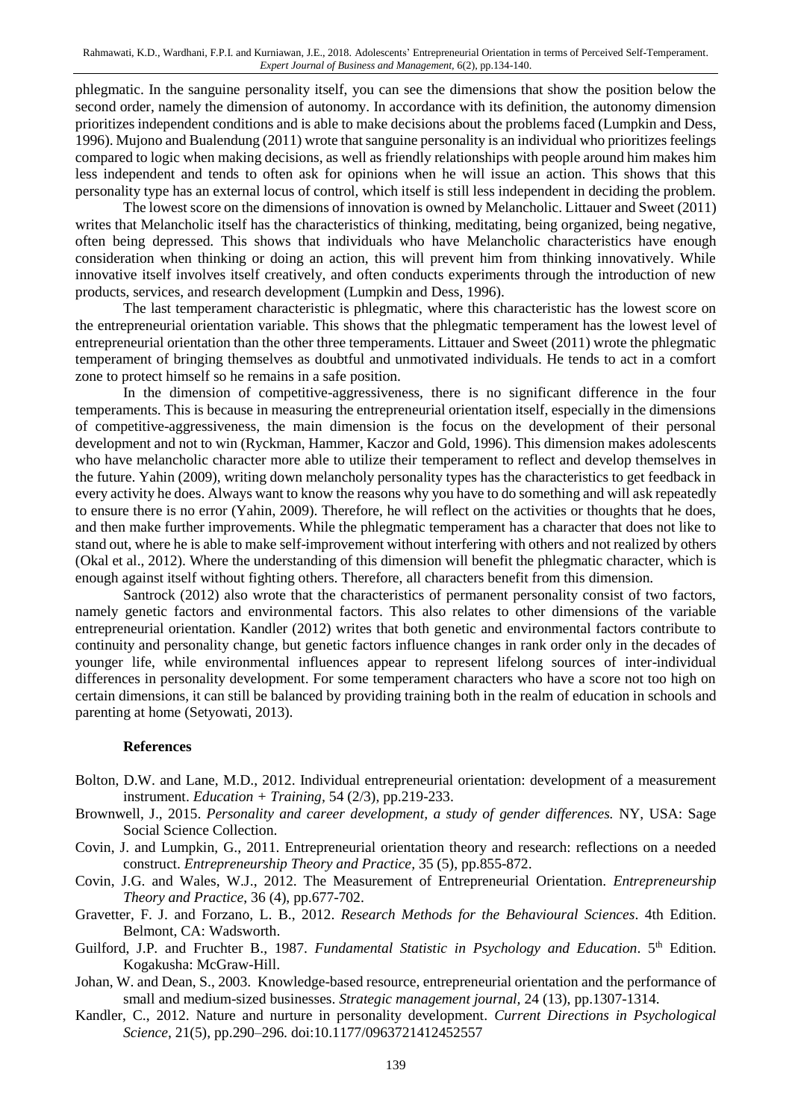phlegmatic. In the sanguine personality itself, you can see the dimensions that show the position below the second order, namely the dimension of autonomy. In accordance with its definition, the autonomy dimension prioritizes independent conditions and is able to make decisions about the problems faced (Lumpkin and Dess, 1996). Mujono and Bualendung (2011) wrote that sanguine personality is an individual who prioritizes feelings compared to logic when making decisions, as well as friendly relationships with people around him makes him less independent and tends to often ask for opinions when he will issue an action. This shows that this personality type has an external locus of control, which itself is still less independent in deciding the problem.

The lowest score on the dimensions of innovation is owned by Melancholic. Littauer and Sweet (2011) writes that Melancholic itself has the characteristics of thinking, meditating, being organized, being negative, often being depressed. This shows that individuals who have Melancholic characteristics have enough consideration when thinking or doing an action, this will prevent him from thinking innovatively. While innovative itself involves itself creatively, and often conducts experiments through the introduction of new products, services, and research development (Lumpkin and Dess, 1996).

The last temperament characteristic is phlegmatic, where this characteristic has the lowest score on the entrepreneurial orientation variable. This shows that the phlegmatic temperament has the lowest level of entrepreneurial orientation than the other three temperaments. Littauer and Sweet (2011) wrote the phlegmatic temperament of bringing themselves as doubtful and unmotivated individuals. He tends to act in a comfort zone to protect himself so he remains in a safe position.

In the dimension of competitive-aggressiveness, there is no significant difference in the four temperaments. This is because in measuring the entrepreneurial orientation itself, especially in the dimensions of competitive-aggressiveness, the main dimension is the focus on the development of their personal development and not to win (Ryckman, Hammer, Kaczor and Gold, 1996). This dimension makes adolescents who have melancholic character more able to utilize their temperament to reflect and develop themselves in the future. Yahin (2009), writing down melancholy personality types has the characteristics to get feedback in every activity he does. Always want to know the reasons why you have to do something and will ask repeatedly to ensure there is no error (Yahin, 2009). Therefore, he will reflect on the activities or thoughts that he does, and then make further improvements. While the phlegmatic temperament has a character that does not like to stand out, where he is able to make self-improvement without interfering with others and not realized by others (Okal et al., 2012). Where the understanding of this dimension will benefit the phlegmatic character, which is enough against itself without fighting others. Therefore, all characters benefit from this dimension.

Santrock (2012) also wrote that the characteristics of permanent personality consist of two factors, namely genetic factors and environmental factors. This also relates to other dimensions of the variable entrepreneurial orientation. Kandler (2012) writes that both genetic and environmental factors contribute to continuity and personality change, but genetic factors influence changes in rank order only in the decades of younger life, while environmental influences appear to represent lifelong sources of inter-individual differences in personality development. For some temperament characters who have a score not too high on certain dimensions, it can still be balanced by providing training both in the realm of education in schools and parenting at home (Setyowati, 2013).

#### **References**

- Bolton, D.W. and Lane, M.D., 2012. Individual entrepreneurial orientation: development of a measurement instrument. *Education + Training,* 54 (2/3), pp.219-233.
- Brownwell, J., 2015. *Personality and career development, a study of gender differences.* NY, USA: Sage Social Science Collection.
- Covin, J. and Lumpkin, G., 2011. Entrepreneurial orientation theory and research: reflections on a needed construct. *Entrepreneurship Theory and Practice,* 35 (5), pp.855-872.
- Covin, J.G. and Wales, W.J., 2012. The Measurement of Entrepreneurial Orientation. *Entrepreneurship Theory and Practice*, 36 (4), pp.677-702.
- Gravetter, F. J. and Forzano, L. B., 2012. *Research Methods for the Behavioural Sciences*. 4th Edition. Belmont, CA: Wadsworth.
- Guilford, J.P. and Fruchter B., 1987. *Fundamental Statistic in Psychology and Education*. 5<sup>th</sup> Edition. Kogakusha: McGraw-Hill.
- Johan, W. and Dean, S., 2003. Knowledge-based resource, entrepreneurial orientation and the performance of small and medium-sized businesses. *Strategic management journal,* 24 (13), pp.1307-1314.
- Kandler, C., 2012. Nature and nurture in personality development. *Current Directions in Psychological Science*, 21(5), pp.290–296. doi:10.1177/0963721412452557